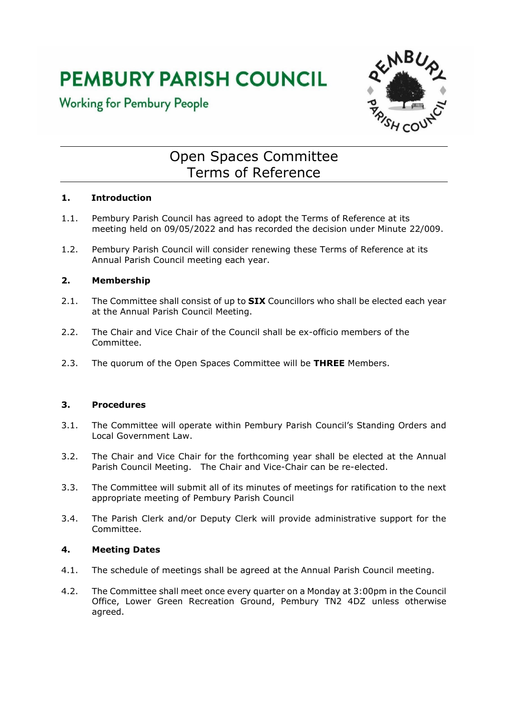# **PEMBURY PARISH COUNCIL**





# Open Spaces Committee Terms of Reference

## **1. Introduction**

- 1.1. Pembury Parish Council has agreed to adopt the Terms of Reference at its meeting held on 09/05/2022 and has recorded the decision under Minute 22/009.
- 1.2. Pembury Parish Council will consider renewing these Terms of Reference at its Annual Parish Council meeting each year.

## **2. Membership**

- 2.1. The Committee shall consist of up to **SIX** Councillors who shall be elected each year at the Annual Parish Council Meeting.
- 2.2. The Chair and Vice Chair of the Council shall be ex-officio members of the Committee.
- 2.3. The quorum of the Open Spaces Committee will be **THREE** Members.

#### **3. Procedures**

- 3.1. The Committee will operate within Pembury Parish Council's Standing Orders and Local Government Law.
- 3.2. The Chair and Vice Chair for the forthcoming year shall be elected at the Annual Parish Council Meeting. The Chair and Vice-Chair can be re-elected.
- 3.3. The Committee will submit all of its minutes of meetings for ratification to the next appropriate meeting of Pembury Parish Council
- 3.4. The Parish Clerk and/or Deputy Clerk will provide administrative support for the Committee.

#### **4. Meeting Dates**

- 4.1. The schedule of meetings shall be agreed at the Annual Parish Council meeting.
- 4.2. The Committee shall meet once every quarter on a Monday at 3:00pm in the Council Office, Lower Green Recreation Ground, Pembury TN2 4DZ unless otherwise agreed.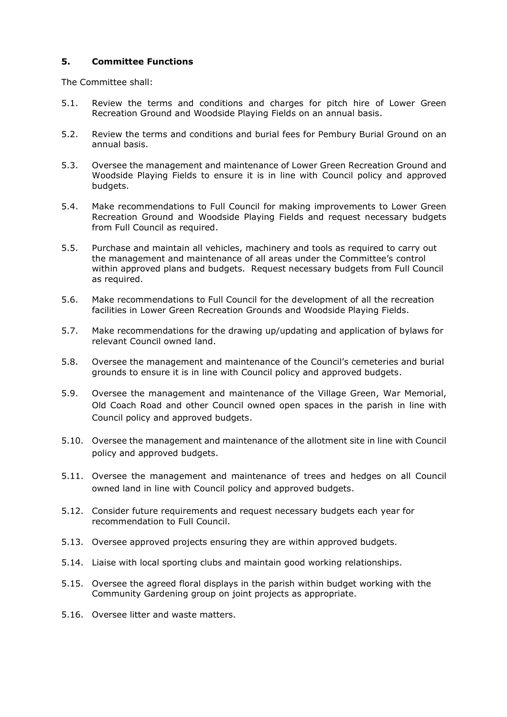#### **5. Committee Functions**

The Committee shall:

- 5.1. Review the terms and conditions and charges for pitch hire of Lower Green Recreation Ground and Woodside Playing Fields on an annual basis.
- 5.2. Review the terms and conditions and burial fees for Pembury Burial Ground on an annual basis.
- 5.3. Oversee the management and maintenance of Lower Green Recreation Ground and Woodside Playing Fields to ensure it is in line with Council policy and approved budgets.
- 5.4. Make recommendations to Full Council for making improvements to Lower Green Recreation Ground and Woodside Playing Fields and request necessary budgets from Full Council as required.
- 5.5. Purchase and maintain all vehicles, machinery and tools as required to carry out the management and maintenance of all areas under the Committee's control within approved plans and budgets. Request necessary budgets from Full Council as required.
- 5.6. Make recommendations to Full Council for the development of all the recreation facilities in Lower Green Recreation Grounds and Woodside Playing Fields.
- 5.7. Make recommendations for the drawing up/updating and application of bylaws for relevant Council owned land.
- 5.8. Oversee the management and maintenance of the Council's cemeteries and burial grounds to ensure it is in line with Council policy and approved budgets.
- 5.9. Oversee the management and maintenance of the Village Green, War Memorial, Old Coach Road and other Council owned open spaces in the parish in line with Council policy and approved budgets.
- 5.10. Oversee the management and maintenance of the allotment site in line with Council policy and approved budgets.
- 5.11. Oversee the management and maintenance of trees and hedges on all Council owned land in line with Council policy and approved budgets.
- 5.12. Consider future requirements and request necessary budgets each year for recommendation to Full Council.
- 5.13. Oversee approved projects ensuring they are within approved budgets.
- 5.14. Liaise with local sporting clubs and maintain good working relationships.
- 5.15. Oversee the agreed floral displays in the parish within budget working with the Community Gardening group on joint projects as appropriate.
- 5.16. Oversee litter and waste matters.